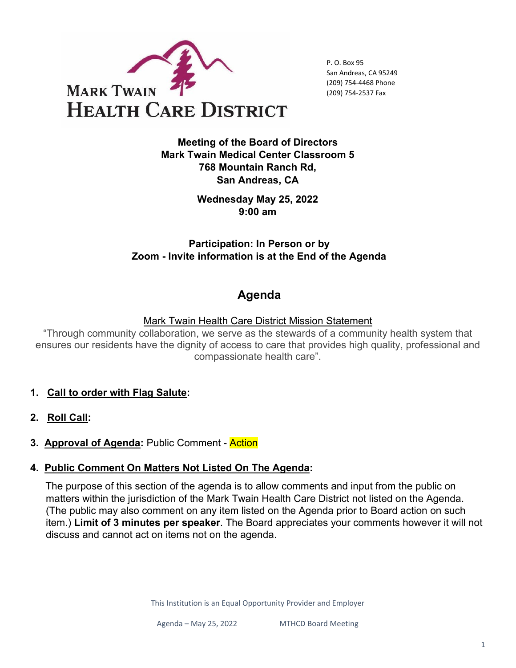

P. O. Box 95 San Andreas, CA 95249 (209) 754-4468 Phone (209) 754-2537 Fax

**Meeting of the Board of Directors Mark Twain Medical Center Classroom 5 768 Mountain Ranch Rd, San Andreas, CA** 

> **Wednesday May 25, 2022 9:00 am**

## **Participation: In Person or by Zoom - Invite information is at the End of the Agenda**

# **Agenda**

### Mark Twain Health Care District Mission Statement

"Through community collaboration, we serve as the stewards of a community health system that ensures our residents have the dignity of access to care that provides high quality, professional and compassionate health care".

- **1. Call to order with Flag Salute:**
- **2. Roll Call:**
- **3. Approval of Agenda:** Public Comment Action

## **4. Public Comment On Matters Not Listed On The Agenda:**

The purpose of this section of the agenda is to allow comments and input from the public on matters within the jurisdiction of the Mark Twain Health Care District not listed on the Agenda. (The public may also comment on any item listed on the Agenda prior to Board action on such item.) **Limit of 3 minutes per speaker**. The Board appreciates your comments however it will not discuss and cannot act on items not on the agenda.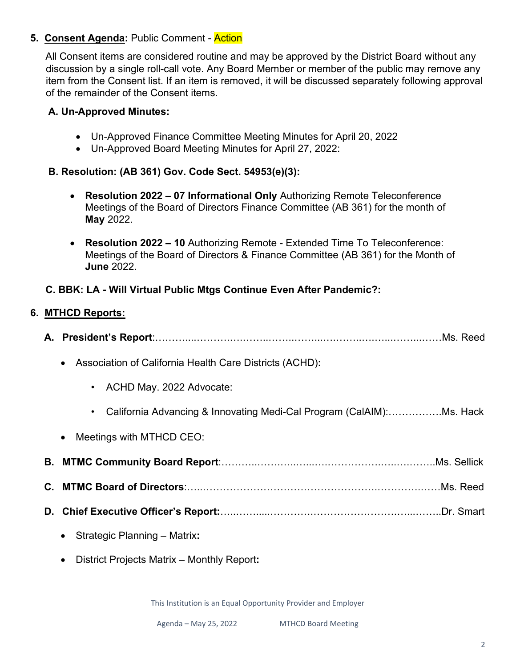### **5. Consent Agenda:** Public Comment - Action

All Consent items are considered routine and may be approved by the District Board without any discussion by a single roll-call vote. Any Board Member or member of the public may remove any item from the Consent list. If an item is removed, it will be discussed separately following approval of the remainder of the Consent items.

#### **A. Un-Approved Minutes:**

- Un-Approved Finance Committee Meeting Minutes for April 20, 2022
- Un-Approved Board Meeting Minutes for April 27, 2022:

### **B. Resolution: (AB 361) Gov. Code Sect. 54953(e)(3):**

- **Resolution 2022 – 07 Informational Only** Authorizing Remote Teleconference Meetings of the Board of Directors Finance Committee (AB 361) for the month of **May** 2022.
- **Resolution 2022 – 10** Authorizing Remote Extended Time To Teleconference: Meetings of the Board of Directors & Finance Committee (AB 361) for the Month of **June** 2022.

### **C. BBK: LA - Will Virtual Public Mtgs Continue Even After Pandemic?:**

#### **6. MTHCD Reports:**

| Association of California Health Care Districts (ACHD):<br>$\bullet$ |
|----------------------------------------------------------------------|
| ACHD May. 2022 Advocate:<br>$\bullet$                                |
| California Advancing & Innovating Medi-Cal Program (CalAIM):Ms. Hack |
| Meetings with MTHCD CEO:<br>$\bullet$                                |
|                                                                      |
|                                                                      |
|                                                                      |
| Strategic Planning - Matrix:<br>$\bullet$                            |
| District Projects Matrix - Monthly Report:                           |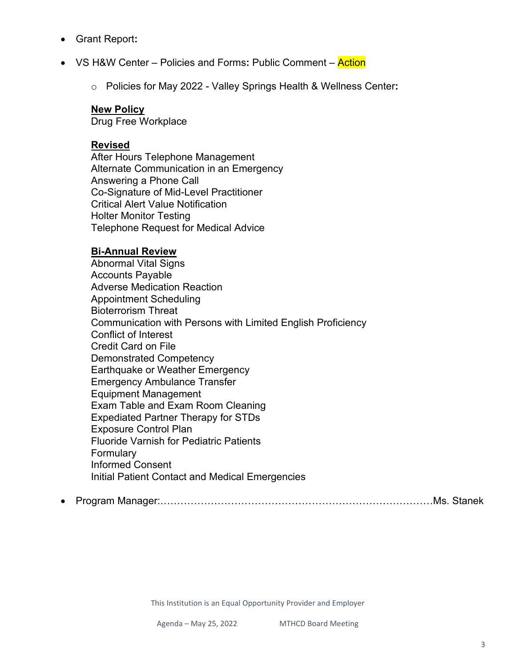- Grant Report**:**
- VS H&W Center Policies and Forms**:** Public Comment Action
	- o Policies for May 2022 Valley Springs Health & Wellness Center**:**

#### **New Policy**

Drug Free Workplace

#### **Revised**

After Hours Telephone Management Alternate Communication in an Emergency Answering a Phone Call Co-Signature of Mid-Level Practitioner Critical Alert Value Notification Holter Monitor Testing Telephone Request for Medical Advice

#### **Bi-Annual Review**

Abnormal Vital Signs Accounts Payable Adverse Medication Reaction Appointment Scheduling Bioterrorism Threat Communication with Persons with Limited English Proficiency Conflict of Interest Credit Card on File Demonstrated Competency Earthquake or Weather Emergency Emergency Ambulance Transfer Equipment Management Exam Table and Exam Room Cleaning Expediated Partner Therapy for STDs Exposure Control Plan Fluoride Varnish for Pediatric Patients **Formulary** Informed Consent Initial Patient Contact and Medical Emergencies

• Program Manager:………………………………………………………………………Ms. Stanek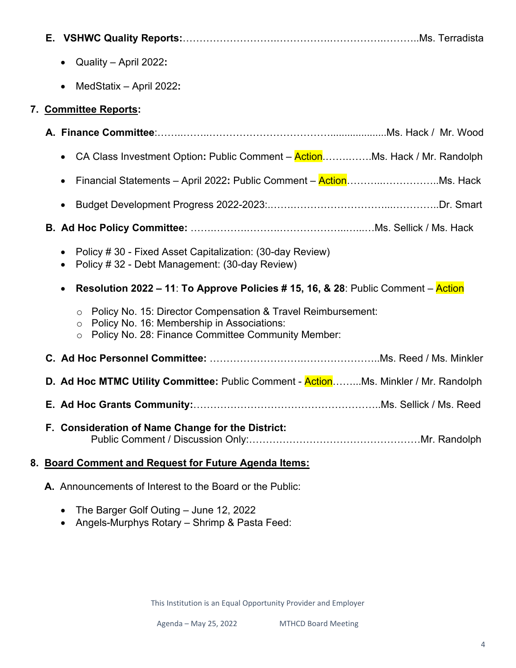- Quality April 2022**:**
- MedStatix April 2022**:**

### **7. Committee Reports:**

| • CA Class Investment Option: Public Comment – ActionMs. Hack / Mr. Randolph                                                                                                           |
|----------------------------------------------------------------------------------------------------------------------------------------------------------------------------------------|
| $\bullet$                                                                                                                                                                              |
| $\bullet$                                                                                                                                                                              |
|                                                                                                                                                                                        |
| Policy # 30 - Fixed Asset Capitalization: (30-day Review)<br>$\bullet$<br>Policy #32 - Debt Management: (30-day Review)<br>$\bullet$                                                   |
| <b>Resolution 2022 – 11: To Approve Policies # 15, 16, &amp; 28: Public Comment – Action</b><br>$\bullet$                                                                              |
| Policy No. 15: Director Compensation & Travel Reimbursement:<br>Policy No. 16: Membership in Associations:<br>$\circ$<br>Policy No. 28: Finance Committee Community Member:<br>$\circ$ |
|                                                                                                                                                                                        |
| D. Ad Hoc MTMC Utility Committee: Public Comment - ActionMs. Minkler / Mr. Randolph                                                                                                    |
|                                                                                                                                                                                        |
| F. Consideration of Name Change for the District:                                                                                                                                      |
| 8. Board Comment and Request for Future Agenda Items:                                                                                                                                  |

- **A.** Announcements of Interest to the Board or the Public:
	- The Barger Golf Outing June 12, 2022
	- Angels-Murphys Rotary Shrimp & Pasta Feed: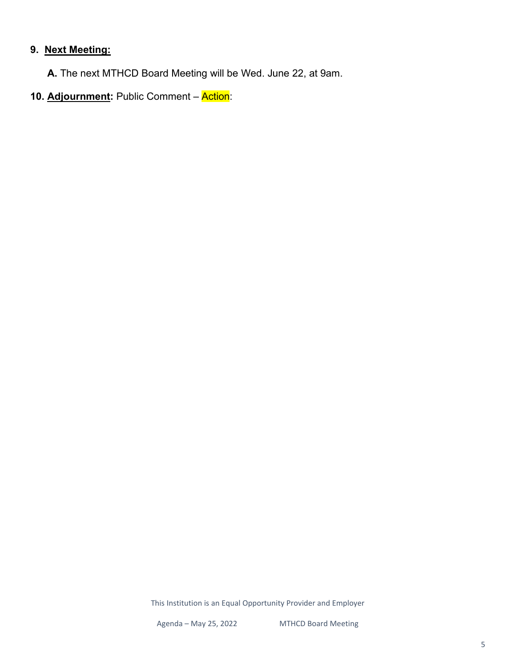# **9. Next Meeting:**

 **A.** The next MTHCD Board Meeting will be Wed. June 22, at 9am.

10. Adjournment: Public Comment - Action: